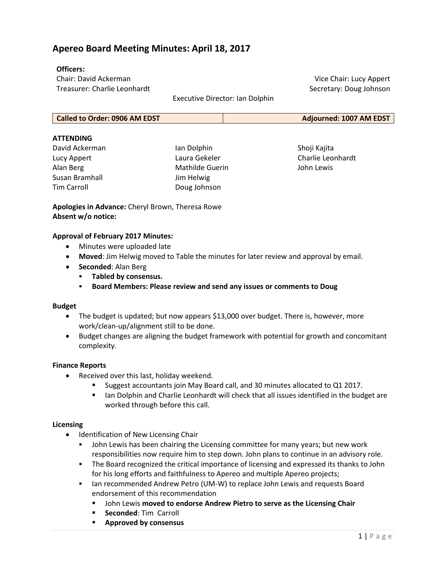# **Apereo Board Meeting Minutes: April 18, 2017**

### **Officers:**

Chair: David Ackerman Treasurer: Charlie Leonhardt

Executive Director: Ian Dolphin

#### **ATTENDING**

David Ackerman Lucy Appert Alan Berg Susan Bramhall Tim Carroll

Ian Dolphin Laura Gekeler Mathilde Guerin Jim Helwig Doug Johnson

Shoji Kajita Charlie Leonhardt John Lewis

Vice Chair: Lucy Appert Secretary: Doug Johnson

**Apologies in Advance:** Cheryl Brown, Theresa Rowe **Absent w/o notice:**

#### **Approval of February 2017 Minutes:**

- Minutes were uploaded late
- **Moved**: Jim Helwig moved to Table the minutes for later review and approval by email.
- **Seconded**: Alan Berg
	- **Tabled by consensus.**
	- **Board Members: Please review and send any issues or comments to Doug**

#### **Budget**

- The budget is updated; but now appears \$13,000 over budget. There is, however, more work/clean-up/alignment still to be done.
- Budget changes are aligning the budget framework with potential for growth and concomitant complexity.

#### **Finance Reports**

- Received over this last, holiday weekend.
	- Suggest accountants join May Board call, and 30 minutes allocated to Q1 2017.
	- **Ian Dolphin and Charlie Leonhardt will check that all issues identified in the budget are** worked through before this call.

#### **Licensing**

- Identification of New Licensing Chair
	- John Lewis has been chairing the Licensing committee for many years; but new work responsibilities now require him to step down. John plans to continue in an advisory role.
	- **The Board recognized the critical importance of licensing and expressed its thanks to John** for his long efforts and faithfulness to Apereo and multiple Apereo projects;
	- **Ian recommended Andrew Petro (UM-W) to replace John Lewis and requests Board** endorsement of this recommendation
		- John Lewis **moved to endorse Andrew Pietro to serve as the Licensing Chair**
		- **Seconded: Tim Carroll**
		- **Approved by consensus**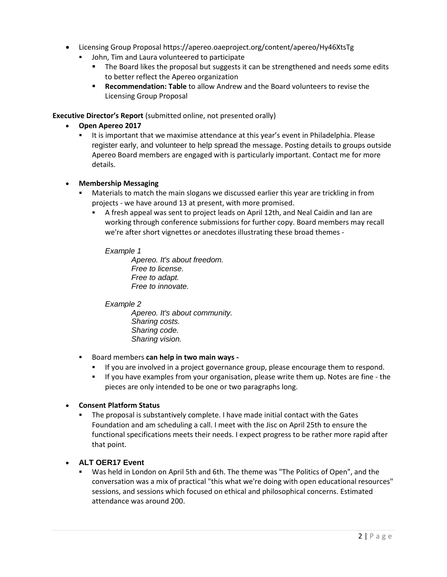- Licensing Group Proposal <https://apereo.oaeproject.org/content/apereo/Hy46XtsTg>
	- John, Tim and Laura volunteered to participate
		- **The Board likes the proposal but suggests it can be strengthened and needs some edits** to better reflect the Apereo organization
		- **Recommendation: Table** to allow Andrew and the Board volunteers to revise the Licensing Group Proposal

**Executive Director's Report** (submitted online, not presented orally)

- **Open Apereo 2017**
	- It is important that we maximise attendance at this year's event in Philadelphia. Please register early, and volunteer to help spread the message. Posting details to groups outside Apereo Board members are engaged with is particularly important. Contact me for more details.

### • **Membership Messaging**

- Materials to match the main slogans we discussed earlier this year are trickling in from projects - we have around 13 at present, with more promised.
	- A fresh appeal was sent to project leads on April 12th, and Neal Caidin and Ian are working through conference submissions for further copy. Board members may recall we're after short vignettes or anecdotes illustrating these broad themes -

### *Example 1*

*Apereo. It's about freedom. Free to license. Free to adapt. Free to innovate.*

# *Example 2*

*Apereo. It's about community. Sharing costs. Sharing code. Sharing vision.*

- Board members **can help in two main ways -**
	- If you are involved in a project governance group, please encourage them to respond.
	- If you have examples from your organisation, please write them up. Notes are fine the pieces are only intended to be one or two paragraphs long.

# • **Consent Platform Status**

 The proposal is substantively complete. I have made initial contact with the Gates Foundation and am scheduling a call. I meet with the Jisc on April 25th to ensure the functional specifications meets their needs. I expect progress to be rather more rapid after that point.

# • **ALT OER17 Event**

 Was held in London on April 5th and 6th. The theme was "The Politics of Open", and the conversation was a mix of practical "this what we're doing with open educational resources" sessions, and sessions which focused on ethical and philosophical concerns. Estimated attendance was around 200.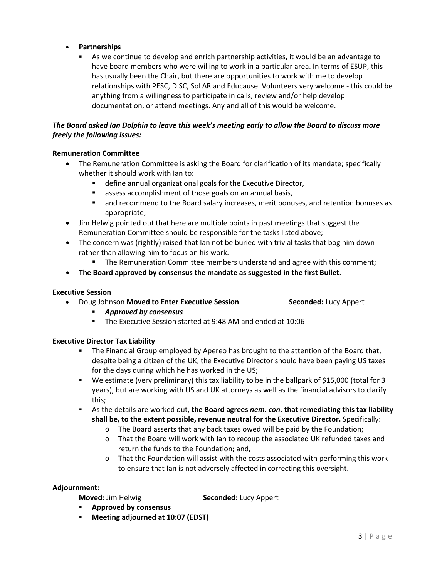## • **Partnerships**

 As we continue to develop and enrich partnership activities, it would be an advantage to have board members who were willing to work in a particular area. In terms of ESUP, this has usually been the Chair, but there are opportunities to work with me to develop relationships with PESC, DISC, SoLAR and Educause. Volunteers very welcome - this could be anything from a willingness to participate in calls, review and/or help develop documentation, or attend meetings. Any and all of this would be welcome.

## *The Board asked Ian Dolphin to leave this week's meeting early to allow the Board to discuss more freely the following issues:*

### **Remuneration Committee**

- The Remuneration Committee is asking the Board for clarification of its mandate; specifically whether it should work with Ian to:
	- define annual organizational goals for the Executive Director,
	- assess accomplishment of those goals on an annual basis,
	- **The Starf** and recommend to the Board salary increases, merit bonuses, and retention bonuses as appropriate;
- Jim Helwig pointed out that here are multiple points in past meetings that suggest the Remuneration Committee should be responsible for the tasks listed above;
- The concern was (rightly) raised that Ian not be buried with trivial tasks that bog him down rather than allowing him to focus on his work.
	- **The Remuneration Committee members understand and agree with this comment;**
- **The Board approved by consensus the mandate as suggested in the first Bullet**.

### **Executive Session**

- Doug Johnson **Moved to Enter Executive Session**. **Seconded:** Lucy Appert
	- *Approved by consensus*
	- The Executive Session started at 9:48 AM and ended at 10:06

### **Executive Director Tax Liability**

- **The Financial Group employed by Apereo has brought to the attention of the Board that,** despite being a citizen of the UK, the Executive Director should have been paying US taxes for the days during which he has worked in the US;
- We estimate (very preliminary) this tax liability to be in the ballpark of \$15,000 (total for 3 years), but are working with US and UK attorneys as well as the financial advisors to clarify this;
- As the details are worked out, **the Board agrees** *nem. con.* **that remediating this tax liability shall be, to the extent possible, revenue neutral for the Executive Director.** Specifically:
	- o The Board asserts that any back taxes owed will be paid by the Foundation;
	- o That the Board will work with Ian to recoup the associated UK refunded taxes and return the funds to the Foundation; and,
	- $\circ$  That the Foundation will assist with the costs associated with performing this work to ensure that Ian is not adversely affected in correcting this oversight.

### **Adjournment:**

**Moved:** Jim Helwig **Seconded:** Lucy Appert

- **Approved by consensus**
- **Meeting adjourned at 10:07 (EDST)**